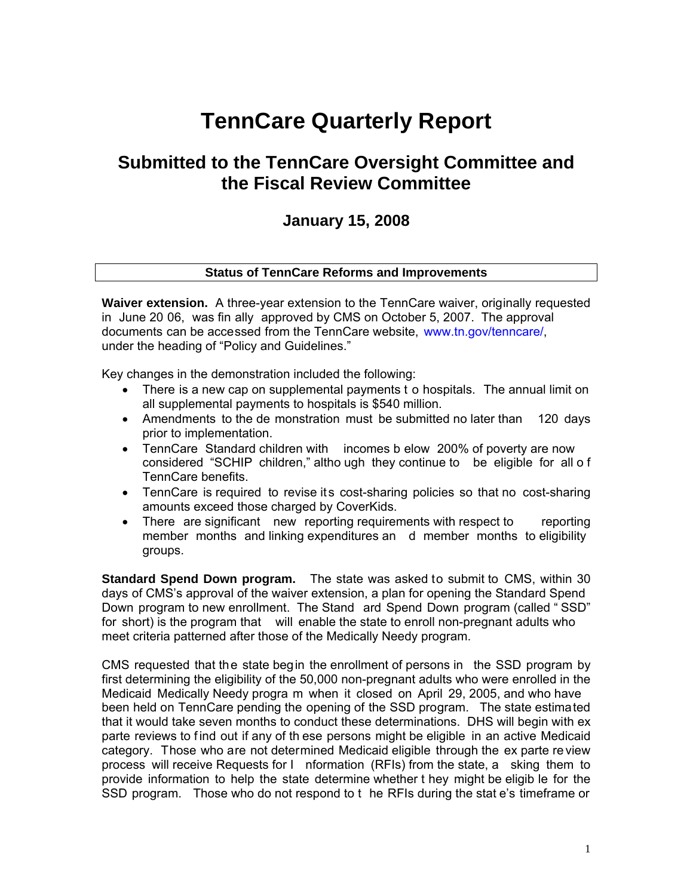# **TennCare Quarterly Report**

## **Submitted to the TennCare Oversight Committee and the Fiscal Review Committee**

## **January 15, 2008**

## **Status of TennCare Reforms and Improvements**

**Waiver extension.** A three-year extension to the TennCare waiver, originally requested in June 20 06, was fin ally approved by CMS on October 5, 2007. The approval documents can be accessed from the TennCare website, [www.tn.gov/tenncare/,](http://www.tn.gov/tenncare/)  under the heading of "Policy and Guidelines."

Key changes in the demonstration included the following:

- There is a new cap on supplemental payments t o hospitals. The annual limit on all supplemental payments to hospitals is \$540 million.
- Amendments to the de monstration must be submitted no later than 120 days prior to implementation.
- TennCare Standard children with incomes b elow 200% of poverty are now considered "SCHIP children," altho ugh they continue to be eligible for all o f TennCare benefits.
- TennCare is required to revise its cost-sharing policies so that no cost-sharing amounts exceed those charged by CoverKids.
- There are significant new reporting requirements with respect to reporting member months and linking expenditures an d member months to eligibility groups.

**Standard Spend Down program.** The state was asked to submit to CMS, within 30 days of CMS's approval of the waiver extension, a plan for opening the Standard Spend Down program to new enrollment. The Stand ard Spend Down program (called " SSD" for short) is the program that will enable the state to enroll non-pregnant adults who meet criteria patterned after those of the Medically Needy program.

CMS requested that the state begin the enrollment of persons in the SSD program by first determining the eligibility of the 50,000 non-pregnant adults who were enrolled in the Medicaid Medically Needy progra m when it closed on April 29, 2005, and who have been held on TennCare pending the opening of the SSD program. The state estimated that it would take seven months to conduct these determinations. DHS will begin with ex parte reviews to find out if any of th ese persons might be eligible in an active Medicaid category. Those who are not determined Medicaid eligible through the ex parte re view process will receive Requests for I nformation (RFIs) from the state, a sking them to provide information to help the state determine whether t hey might be eligib le for the SSD program. Those who do not respond to t he RFIs during the stat e's timeframe or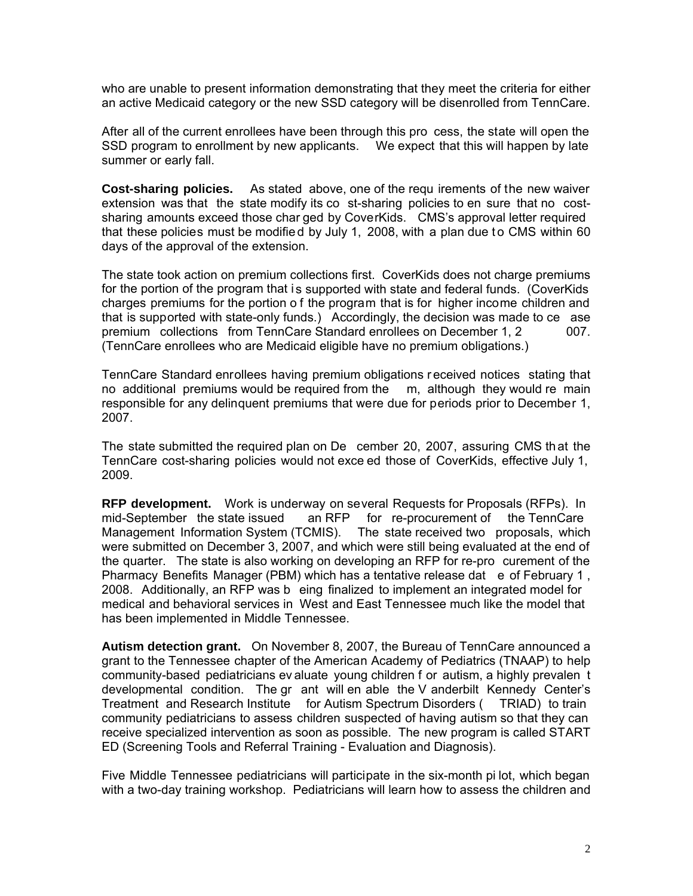who are unable to present information demonstrating that they meet the criteria for either an active Medicaid category or the new SSD category will be disenrolled from TennCare.

After all of the current enrollees have been through this pro cess, the state will open the SSD program to enrollment by new applicants. We expect that this will happen by late summer or early fall.

**Cost-sharing policies.** As stated above, one of the requ irements of the new waiver extension was that the state modify its co st-sharing policies to en sure that no costsharing amounts exceed those char ged by CoverKids. CMS's approval letter required that these policies must be modified by July 1, 2008, with a plan due to CMS within 60 days of the approval of the extension.

The state took action on premium collections first. CoverKids does not charge premiums for the portion of the program that is supported with state and federal funds. (CoverKids charges premiums for the portion o f the program that is for higher income children and that is supported with state-only funds.) Accordingly, the decision was made to ce ase premium collections from TennCare Standard enrollees on December 1, 2 007. (TennCare enrollees who are Medicaid eligible have no premium obligations.)

TennCare Standard enrollees having premium obligations r eceived notices stating that no additional premiums would be required from the m, although they would re main responsible for any delinquent premiums that were due for periods prior to December 1, 2007.

The state submitted the required plan on De cember 20, 2007, assuring CMS th at the TennCare cost-sharing policies would not exce ed those of CoverKids, effective July 1, 2009.

**RFP development.** Work is underway on several Requests for Proposals (RFPs). In mid-September the state issued an RFP for re-procurement of the TennCare<br>Management Information System (TCMIS). The state received two proposals, which Management Information System (TCMIS). were submitted on December 3, 2007, and which were still being evaluated at the end of the quarter. The state is also working on developing an RFP for re-pro curement of the Pharmacy Benefits Manager (PBM) which has a tentative release dat e of February 1, 2008. Additionally, an RFP was b eing finalized to implement an integrated model for medical and behavioral services in West and East Tennessee much like the model that has been implemented in Middle Tennessee.

**Autism detection grant.** On November 8, 2007, the Bureau of TennCare announced a grant to the Tennessee chapter of the American Academy of Pediatrics (TNAAP) to help community-based pediatricians ev aluate young children f or autism, a highly prevalen t developmental condition. The gr ant will en able the V anderbilt Kennedy Center's Treatment and Research Institute for Autism Spectrum Disorders ( TRIAD) to train community pediatricians to assess children suspected of having autism so that they can receive specialized intervention as soon as possible. The new program is called START ED (Screening Tools and Referral Training - Evaluation and Diagnosis).

Five Middle Tennessee pediatricians will participate in the six-month pi lot, which began with a two-day training workshop. Pediatricians will learn how to assess the children and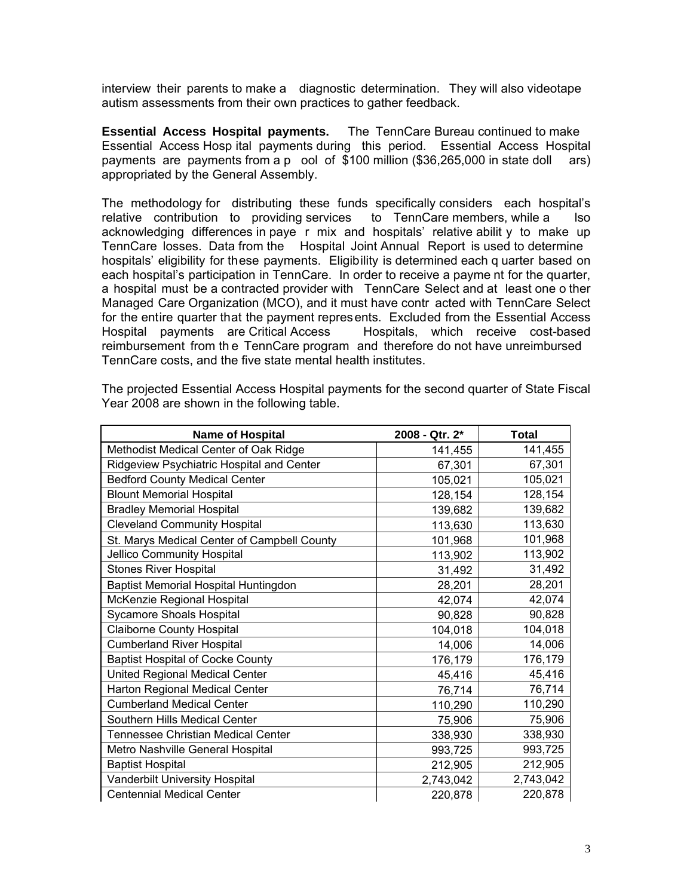interview their parents to make a diagnostic determination. They will also videotape autism assessments from their own practices to gather feedback.

**Essential Access Hospital payments.** The TennCare Bureau continued to make Essential Access Hosp ital payments during this period. Essential Access Hospital payments are payments from a p ool of \$100 million (\$36,265,000 in state doll ars) appropriated by the General Assembly.

The methodology for distributing these funds specifically considers each hospital's relative contribution to providing services to TennCare members, while a lso relative contribution to providing services to TennCare members, while a lso acknowledging differences in paye r mix and hospitals' relative abilit y to make up TennCare losses. Data from the Hospital Joint Annual Report is used to determine hospitals' eligibility for these payments. Eligibility is determined each q uarter based on each hospital's participation in TennCare. In order to receive a payme nt for the quarter, a hospital must be a contracted provider with TennCare Select and at least one o ther Managed Care Organization (MCO), and it must have contr acted with TennCare Select for the entire quarter that the payment represents. Excluded from the Essential Access Hospital payments are Critical Access Hospitals, which receive cost-based reimbursement from th e TennCare program and therefore do not have unreimbursed TennCare costs, and the five state mental health institutes.

| <b>Name of Hospital</b>                     | 2008 - Qtr. 2* | <b>Total</b> |
|---------------------------------------------|----------------|--------------|
| Methodist Medical Center of Oak Ridge       | 141,455        | 141,455      |
| Ridgeview Psychiatric Hospital and Center   | 67,301         | 67,301       |
| <b>Bedford County Medical Center</b>        | 105,021        | 105,021      |
| <b>Blount Memorial Hospital</b>             | 128,154        | 128,154      |
| <b>Bradley Memorial Hospital</b>            | 139,682        | 139,682      |
| <b>Cleveland Community Hospital</b>         | 113,630        | 113,630      |
| St. Marys Medical Center of Campbell County | 101,968        | 101,968      |
| Jellico Community Hospital                  | 113,902        | 113,902      |
| <b>Stones River Hospital</b>                | 31,492         | 31,492       |
| Baptist Memorial Hospital Huntingdon        | 28,201         | 28,201       |
| McKenzie Regional Hospital                  | 42,074         | 42,074       |
| <b>Sycamore Shoals Hospital</b>             | 90,828         | 90,828       |
| <b>Claiborne County Hospital</b>            | 104,018        | 104,018      |
| <b>Cumberland River Hospital</b>            | 14,006         | 14,006       |
| <b>Baptist Hospital of Cocke County</b>     | 176,179        | 176,179      |
| United Regional Medical Center              | 45,416         | 45,416       |
| Harton Regional Medical Center              | 76,714         | 76,714       |
| <b>Cumberland Medical Center</b>            | 110,290        | 110,290      |
| Southern Hills Medical Center               | 75,906         | 75,906       |
| <b>Tennessee Christian Medical Center</b>   | 338,930        | 338,930      |
| Metro Nashville General Hospital            | 993,725        | 993,725      |
| <b>Baptist Hospital</b>                     | 212,905        | 212,905      |
| <b>Vanderbilt University Hospital</b>       | 2,743,042      | 2,743,042    |
| <b>Centennial Medical Center</b>            | 220,878        | 220,878      |

The projected Essential Access Hospital payments for the second quarter of State Fiscal Year 2008 are shown in the following table.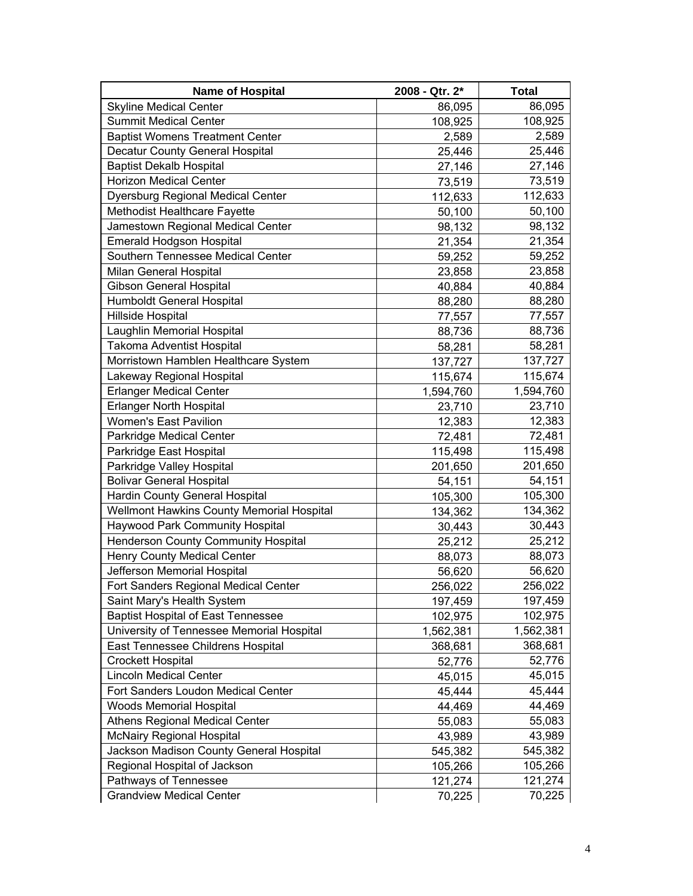| <b>Name of Hospital</b>                   | 2008 - Qtr. 2* | <b>Total</b> |
|-------------------------------------------|----------------|--------------|
| <b>Skyline Medical Center</b>             | 86,095         | 86,095       |
| <b>Summit Medical Center</b>              | 108,925        | 108,925      |
| <b>Baptist Womens Treatment Center</b>    | 2,589          | 2,589        |
| Decatur County General Hospital           | 25,446         | 25,446       |
| <b>Baptist Dekalb Hospital</b>            | 27,146         | 27,146       |
| <b>Horizon Medical Center</b>             | 73,519         | 73,519       |
| Dyersburg Regional Medical Center         | 112,633        | 112,633      |
| Methodist Healthcare Fayette              | 50,100         | 50,100       |
| Jamestown Regional Medical Center         | 98,132         | 98,132       |
| Emerald Hodgson Hospital                  | 21,354         | 21,354       |
| Southern Tennessee Medical Center         | 59,252         | 59,252       |
| Milan General Hospital                    | 23,858         | 23,858       |
| <b>Gibson General Hospital</b>            | 40,884         | 40,884       |
| Humboldt General Hospital                 | 88,280         | 88,280       |
| Hillside Hospital                         | 77,557         | 77,557       |
| Laughlin Memorial Hospital                | 88,736         | 88,736       |
| Takoma Adventist Hospital                 | 58,281         | 58,281       |
| Morristown Hamblen Healthcare System      | 137,727        | 137,727      |
| Lakeway Regional Hospital                 | 115,674        | 115,674      |
| <b>Erlanger Medical Center</b>            | 1,594,760      | 1,594,760    |
| <b>Erlanger North Hospital</b>            | 23,710         | 23,710       |
| Women's East Pavilion                     | 12,383         | 12,383       |
| Parkridge Medical Center                  | 72,481         | 72,481       |
| Parkridge East Hospital                   | 115,498        | 115,498      |
| Parkridge Valley Hospital                 | 201,650        | 201,650      |
| <b>Bolivar General Hospital</b>           | 54,151         | 54,151       |
| Hardin County General Hospital            | 105,300        | 105,300      |
| Wellmont Hawkins County Memorial Hospital | 134,362        | 134,362      |
| Haywood Park Community Hospital           | 30,443         | 30,443       |
| Henderson County Community Hospital       | 25,212         | 25,212       |
| Henry County Medical Center               | 88,073         | 88,073       |
| Jefferson Memorial Hospital               | 56,620         | 56,620       |
| Fort Sanders Regional Medical Center      | 256,022        | 256,022      |
| Saint Mary's Health System                | 197,459        | 197,459      |
| <b>Baptist Hospital of East Tennessee</b> | 102,975        | 102,975      |
| University of Tennessee Memorial Hospital | 1,562,381      | 1,562,381    |
| East Tennessee Childrens Hospital         | 368,681        | 368,681      |
| <b>Crockett Hospital</b>                  | 52,776         | 52,776       |
| <b>Lincoln Medical Center</b>             | 45,015         | 45,015       |
| Fort Sanders Loudon Medical Center        | 45,444         | 45,444       |
| <b>Woods Memorial Hospital</b>            | 44,469         | 44,469       |
| <b>Athens Regional Medical Center</b>     | 55,083         | 55,083       |
| <b>McNairy Regional Hospital</b>          | 43,989         | 43,989       |
| Jackson Madison County General Hospital   | 545,382        | 545,382      |
| Regional Hospital of Jackson              | 105,266        | 105,266      |
| Pathways of Tennessee                     | 121,274        | 121,274      |
| <b>Grandview Medical Center</b>           | 70,225         | 70,225       |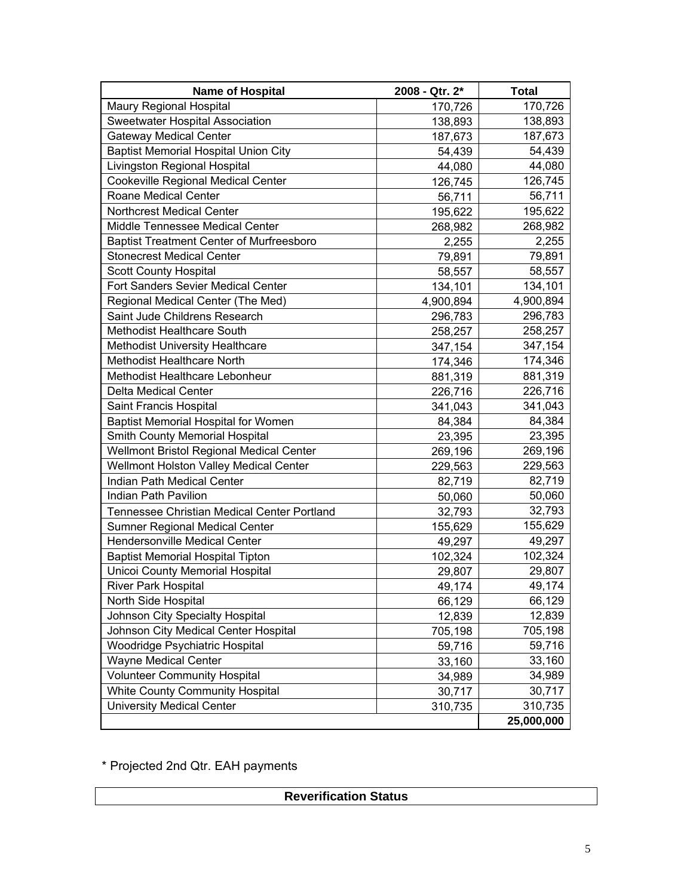| <b>Name of Hospital</b>                         | 2008 - Qtr. 2* | <b>Total</b> |
|-------------------------------------------------|----------------|--------------|
| Maury Regional Hospital                         | 170,726        | 170,726      |
| Sweetwater Hospital Association                 | 138,893        | 138,893      |
| <b>Gateway Medical Center</b>                   | 187,673        | 187,673      |
| <b>Baptist Memorial Hospital Union City</b>     | 54,439         | 54,439       |
| Livingston Regional Hospital                    | 44,080         | 44,080       |
| <b>Cookeville Regional Medical Center</b>       | 126,745        | 126,745      |
| Roane Medical Center                            | 56,711         | 56,711       |
| <b>Northcrest Medical Center</b>                | 195,622        | 195,622      |
| Middle Tennessee Medical Center                 | 268,982        | 268,982      |
| <b>Baptist Treatment Center of Murfreesboro</b> | 2,255          | 2,255        |
| <b>Stonecrest Medical Center</b>                | 79,891         | 79,891       |
| <b>Scott County Hospital</b>                    | 58,557         | 58,557       |
| Fort Sanders Sevier Medical Center              | 134,101        | 134,101      |
| Regional Medical Center (The Med)               | 4,900,894      | 4,900,894    |
| Saint Jude Childrens Research                   | 296,783        | 296,783      |
| Methodist Healthcare South                      | 258,257        | 258,257      |
| <b>Methodist University Healthcare</b>          | 347,154        | 347,154      |
| Methodist Healthcare North                      | 174,346        | 174,346      |
| Methodist Healthcare Lebonheur                  | 881,319        | 881,319      |
| <b>Delta Medical Center</b>                     | 226,716        | 226,716      |
| Saint Francis Hospital                          | 341,043        | 341,043      |
| <b>Baptist Memorial Hospital for Women</b>      | 84,384         | 84,384       |
| Smith County Memorial Hospital                  | 23,395         | 23,395       |
| Wellmont Bristol Regional Medical Center        | 269,196        | 269,196      |
| Wellmont Holston Valley Medical Center          | 229,563        | 229,563      |
| Indian Path Medical Center                      | 82,719         | 82,719       |
| <b>Indian Path Pavilion</b>                     | 50,060         | 50,060       |
| Tennessee Christian Medical Center Portland     | 32,793         | 32,793       |
| Sumner Regional Medical Center                  | 155,629        | 155,629      |
| Hendersonville Medical Center                   | 49,297         | 49,297       |
| <b>Baptist Memorial Hospital Tipton</b>         | 102,324        | 102,324      |
| Unicoi County Memorial Hospital                 | 29,807         | 29,807       |
| River Park Hospital                             | 49,174         | 49,174       |
| North Side Hospital                             | 66,129         | 66,129       |
| Johnson City Specialty Hospital                 | 12,839         | 12,839       |
| Johnson City Medical Center Hospital            | 705,198        | 705,198      |
| Woodridge Psychiatric Hospital                  | 59,716         | 59,716       |
| <b>Wayne Medical Center</b>                     | 33,160         | 33,160       |
| <b>Volunteer Community Hospital</b>             | 34,989         | 34,989       |
| White County Community Hospital                 | 30,717         | 30,717       |
| <b>University Medical Center</b>                | 310,735        | 310,735      |
|                                                 |                | 25,000,000   |

\* Projected 2nd Qtr. EAH payments

| <b>Reverification Status</b> |  |
|------------------------------|--|
|------------------------------|--|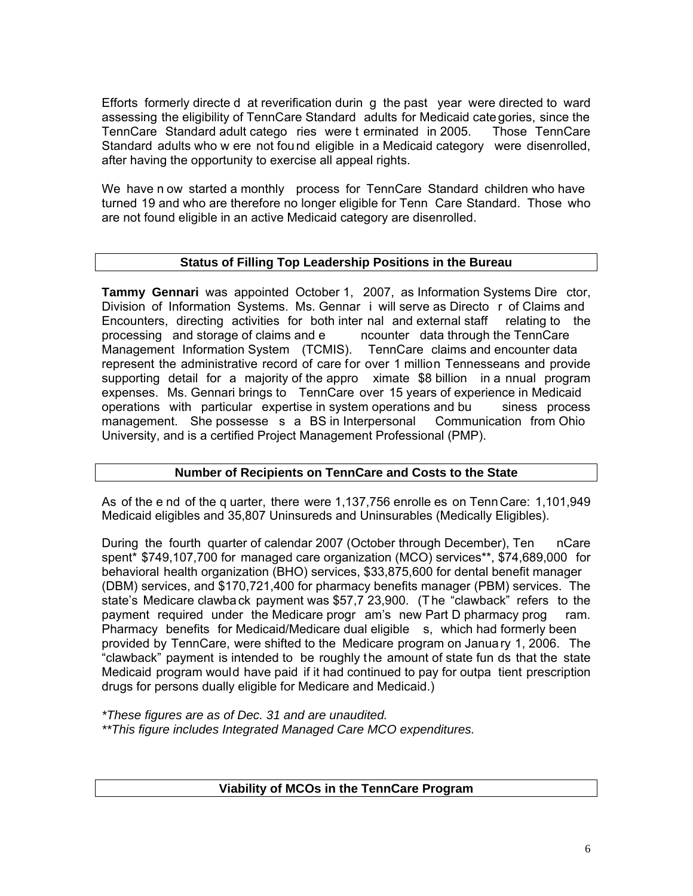Efforts formerly directe d at reverification durin g the past year were directed to ward assessing the eligibility of TennCare Standard adults for Medicaid categories, since the TennCare Standard adult catego ries were t erminated in 2005. Those TennCare Standard adults who w ere not fou nd eligible in a Medicaid category were disenrolled, after having the opportunity to exercise all appeal rights.

We have n ow started a monthly process for TennCare Standard children who have turned 19 and who are therefore no longer eligible for Tenn Care Standard. Those who are not found eligible in an active Medicaid category are disenrolled.

## **Status of Filling Top Leadership Positions in the Bureau**

**Tammy Gennari** was appointed October 1, 2007, as Information Systems Dire ctor, Division of Information Systems. Ms. Gennar i will serve as Directo r of Claims and Encounters, directing activities for both inter nal and external staff relating to the processing and storage of claims and e processing and storage of claims and e Management Information System (TCMIS). TennCare claims and encounter data represent the administrative record of care for over 1 million Tennesseans and provide supporting detail for a majority of the appro ximate \$8 billion in a nnual program expenses. Ms. Gennari brings to TennCare over 15 years of experience in Medicaid operations with particular expertise in system operations and bu siness process management. She possesse s a BS in Interpersonal Communication from Ohio University, and is a certified Project Management Professional (PMP).

## **Number of Recipients on TennCare and Costs to the State**

As of the e nd of the q uarter, there were 1,137,756 enrolle es on TennCare: 1,101,949 Medicaid eligibles and 35,807 Uninsureds and Uninsurables (Medically Eligibles).

During the fourth quarter of calendar 2007 (October through December), Ten nCare spent\* \$749,107,700 for managed care organization (MCO) services\*\*, \$74,689,000 for behavioral health organization (BHO) services, \$33,875,600 for dental benefit manager (DBM) services, and \$170,721,400 for pharmacy benefits manager (PBM) services. The state's Medicare clawba ck payment was \$57,7 23,900. (T he "clawback" refers to the payment required under the Medicare progr am's new Part D pharmacy prog ram. Pharmacy benefits for Medicaid/Medicare dual eligible s, which had formerly been provided by TennCare, were shifted to the Medicare program on January 1, 2006. The "clawback" payment is intended to be roughly the amount of state fun ds that the state Medicaid program would have paid if it had continued to pay for outpa tient prescription drugs for persons dually eligible for Medicare and Medicaid.)

*\*These figures are as of Dec. 31 and are unaudited. \*\*This figure includes Integrated Managed Care MCO expenditures.*

## **Viability of MCOs in the TennCare Program**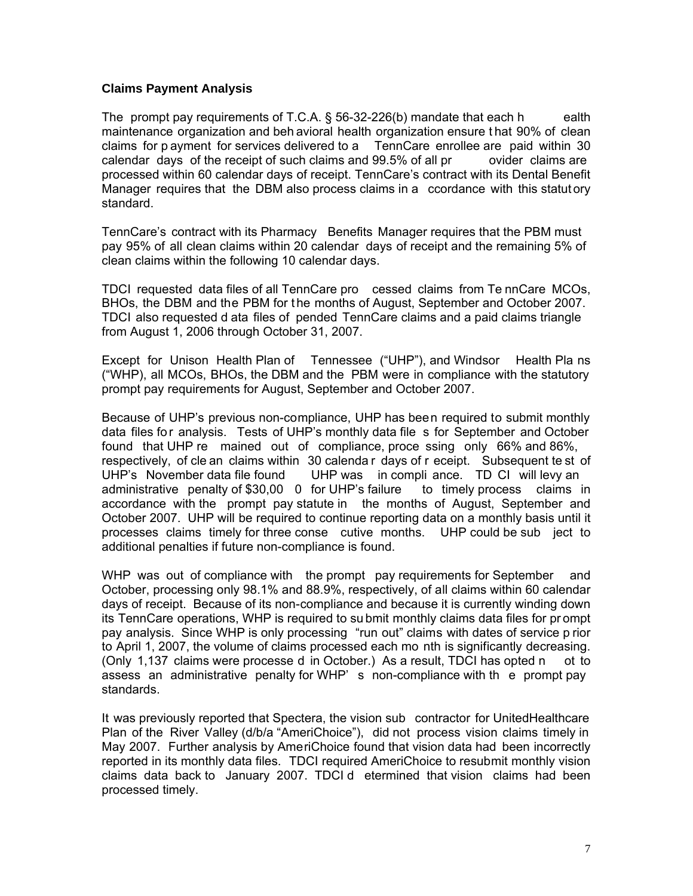## **Claims Payment Analysis**

The prompt pay requirements of T.C.A.  $\S$  56-32-226(b) mandate that each h ealth maintenance organization and beh avioral health organization ensure t hat 90% of clean claims for p ayment for services delivered to a TennCare enrollee are paid within 30 calendar days of the receipt of such claims and 99.5% of all pr ovider claims are processed within 60 calendar days of receipt. TennCare's contract with its Dental Benefit Manager requires that the DBM also process claims in a ccordance with this statut ory standard.

TennCare's contract with its Pharmacy Benefits Manager requires that the PBM must pay 95% of all clean claims within 20 calendar days of receipt and the remaining 5% of clean claims within the following 10 calendar days.

TDCI requested data files of all TennCare pro cessed claims from Te nnCare MCOs, BHOs, the DBM and the PBM for the months of August, September and October 2007. TDCI also requested d ata files of pended TennCare claims and a paid claims triangle from August 1, 2006 through October 31, 2007.

Except for Unison Health Plan of Tennessee ("UHP"), and Windsor Health Pla ns ("WHP), all MCOs, BHOs, the DBM and the PBM were in compliance with the statutory prompt pay requirements for August, September and October 2007.

Because of UHP's previous non-compliance, UHP has been required to submit monthly data files for analysis. Tests of UHP's monthly data file s for September and October found that UHP re mained out of compliance, proce ssing only 66% and 86%, respectively, of cle an claims within 30 calenda r days of r eceipt. Subsequent te st of UHP's November data file found UHP was in compli ance. TD CI will levy an administrative penalty of \$30,00 0 for UHP's failure to timely process claims in accordance with the prompt pay statute in the months of August, September and October 2007. UHP will be required to continue reporting data on a monthly basis until it processes claims timely for three conse cutive months. UHP could be sub ject to additional penalties if future non-compliance is found.

WHP was out of compliance with the prompt pay requirements for September and October, processing only 98.1% and 88.9%, respectively, of all claims within 60 calendar days of receipt. Because of its non-compliance and because it is currently winding down its TennCare operations, WHP is required to su bmit monthly claims data files for pr ompt pay analysis. Since WHP is only processing "run out" claims with dates of service p rior to April 1, 2007, the volume of claims processed each mo nth is significantly decreasing. (Only 1,137 claims were processe d in October.) As a result, TDCI has opted n ot to assess an administrative penalty for WHP' s non-compliance with th e prompt pay standards.

It was previously reported that Spectera, the vision sub contractor for UnitedHealthcare Plan of the River Valley (d/b/a "AmeriChoice"), did not process vision claims timely in May 2007. Further analysis by AmeriChoice found that vision data had been incorrectly reported in its monthly data files. TDCI required AmeriChoice to resubmit monthly vision claims data back to January 2007. TDCI d etermined that vision claims had been processed timely.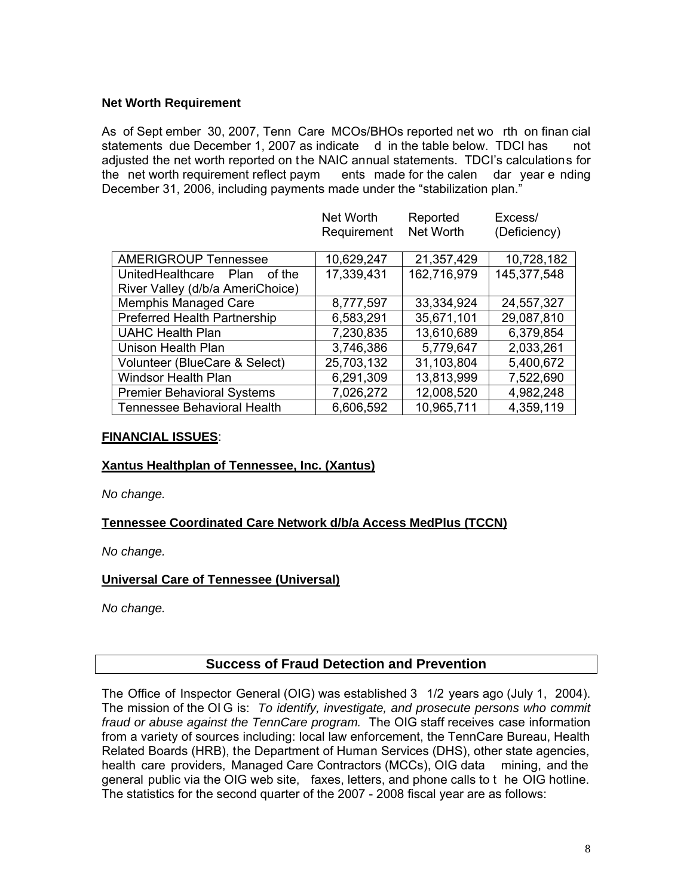## **Net Worth Requirement**

As of Sept ember 30, 2007, Tenn Care MCOs/BHOs reported net wo rth on finan cial statements due December 1, 2007 as indicate d in the table below. TDCI has not adjusted the net worth reported on the NAIC annual statements. TDCI's calculations for<br>the net worth requirement reflect paym ents made for the calen dar year e nding ents made for the calen dar year ending December 31, 2006, including payments made under the "stabilization plan."

Net Worth

|                                     | Net Worth<br>Requirement | Reported<br>Net Worth | Excess/<br>(Deficiency) |
|-------------------------------------|--------------------------|-----------------------|-------------------------|
|                                     |                          |                       |                         |
| <b>AMERIGROUP Tennessee</b>         | 10,629,247               | 21,357,429            | 10,728,182              |
| UnitedHealthcare<br>Plan<br>of the  | 17,339,431               | 162,716,979           | 145,377,548             |
| River Valley (d/b/a AmeriChoice)    |                          |                       |                         |
| <b>Memphis Managed Care</b>         | 8,777,597                | 33,334,924            | 24,557,327              |
| <b>Preferred Health Partnership</b> | 6,583,291                | 35,671,101            | 29,087,810              |
| <b>UAHC Health Plan</b>             | 7,230,835                | 13,610,689            | 6,379,854               |
| Unison Health Plan                  | 3,746,386                | 5,779,647             | 2,033,261               |
| Volunteer (BlueCare & Select)       | 25,703,132               | 31,103,804            | 5,400,672               |
| <b>Windsor Health Plan</b>          | 6,291,309                | 13,813,999            | 7,522,690               |
| <b>Premier Behavioral Systems</b>   | 7,026,272                | 12,008,520            | 4,982,248               |
| <b>Tennessee Behavioral Health</b>  | 6,606,592                | 10,965,711            | 4,359,119               |

## **FINANCIAL ISSUES**:

## **Xantus Healthplan of Tennessee, Inc. (Xantus)**

*No change.* 

## **Tennessee Coordinated Care Network d/b/a Access MedPlus (TCCN)**

*No change.* 

## **Universal Care of Tennessee (Universal)**

*No change.* 

## **Success of Fraud Detection and Prevention**

The Office of Inspector General (OIG) was established 3 1/2 years ago (July 1, 2004). The mission of the OI G is: *To identify, investigate, and prosecute persons who commit fraud or abuse against the TennCare program.* The OIG staff receives case information from a variety of sources including: local law enforcement, the TennCare Bureau, Health Related Boards (HRB), the Department of Human Services (DHS), other state agencies, health care providers, Managed Care Contractors (MCCs), OIG data mining, and the general public via the OIG web site, faxes, letters, and phone calls to t he OIG hotline. The statistics for the second quarter of the 2007 - 2008 fiscal year are as follows: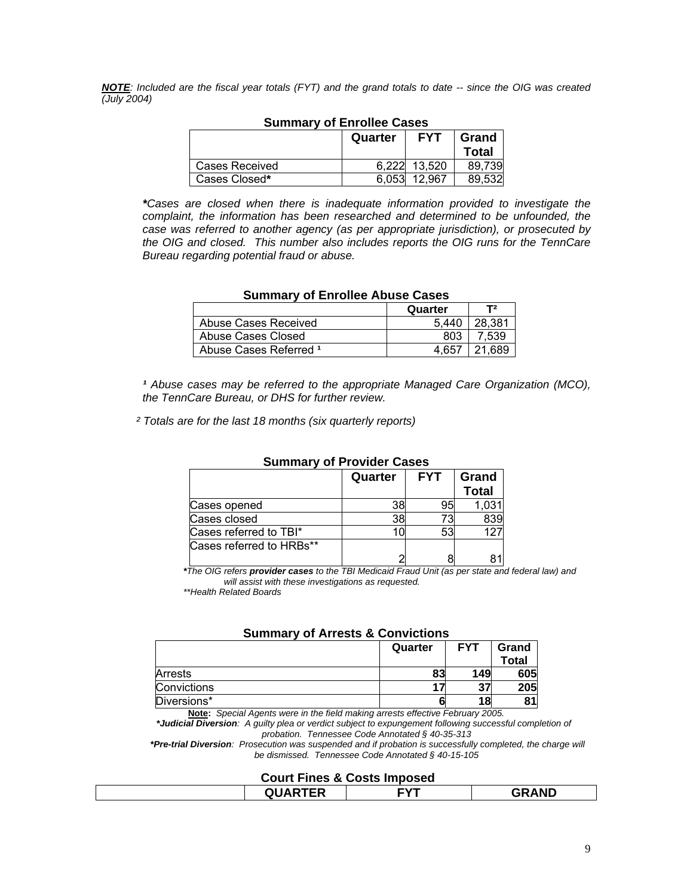*NOTE: Included are the fiscal year totals (FYT) and the grand totals to date -- since the OIG was created (July 2004)* 

|                | Quarter | <b>FYT</b> | Grand<br>Total |
|----------------|---------|------------|----------------|
|                |         |            |                |
| Cases Received | 6.222   | 13,520     | 89.739         |
| Cases Closed*  | 6.053   | 12.967     | 89.532         |

## **Summary of Enrollee Cases**

*\*Cases are closed when there is inadequate information provided to investigate the complaint, the information has been researched and determined to be unfounded, the case was referred to another agency (as per appropriate jurisdiction), or prosecuted by the OIG and closed. This number also includes reports the OIG runs for the TennCare Bureau regarding potential fraud or abuse.* 

| <b>Summary of Enrollee Abuse Cases</b> |       |        |  |  |
|----------------------------------------|-------|--------|--|--|
| T2<br>Quarter                          |       |        |  |  |
| Abuse Cases Received                   | 5.440 | 28.381 |  |  |
| Abuse Cases Closed                     | 803   | 7.539  |  |  |
| Abuse Cases Referred 1                 | 4.657 | 21.689 |  |  |

<sup>1</sup> Abuse cases may be referred to the appropriate Managed Care Organization (MCO), *the TennCare Bureau, or DHS for further review.* 

 *² Totals are for the last 18 months (six quarterly reports)* 

| <b>JUILIIIIAI VUI FIUVIUTI GASTS</b> |         |            |                       |  |
|--------------------------------------|---------|------------|-----------------------|--|
|                                      | Quarter | <b>FYT</b> | Grand<br><b>Total</b> |  |
| Cases opened                         | 38      | -95        | 1,031                 |  |
| Cases closed                         | 38      | 73         | 839                   |  |
| Cases referred to TBI*               |         | 53         | 127                   |  |
| Cases referred to HRBs**             |         |            |                       |  |

## **Summary of Provider Cases**

*\*The OIG refers provider cases to the TBI Medicaid Fraud Unit (as per state and federal law) and will assist with these investigations as requested.* 

 *\*\*Health Related Boards* 

## **Summary of Arrests & Convictions**

|             | Quarter | <b>FYT</b> | Grand |
|-------------|---------|------------|-------|
|             |         |            | Total |
| Arrests     | 83      | 149        | 605   |
| Convictions |         | 37         | 205   |
| Diversions* |         | 18         |       |
| .           | $-$     |            |       |

**Note:** *Special Agents were in the field making arrests effective February 2005.* 

 *\*Judicial Diversion: A guilty plea or verdict subject to expungement following successful completion of probation. Tennessee Code Annotated § 40-35-313* 

 *\*Pre-trial Diversion: Prosecution was suspended and if probation is successfully completed, the charge will be dismissed. Tennessee Code Annotated § 40-15-105* 

#### **Court Fines & Costs Imposed**

| <u>seart ringe &amp; secto mipeced</u> |     |     |                    |  |
|----------------------------------------|-----|-----|--------------------|--|
|                                        | --- | :vt | <b>AND</b><br>JYP. |  |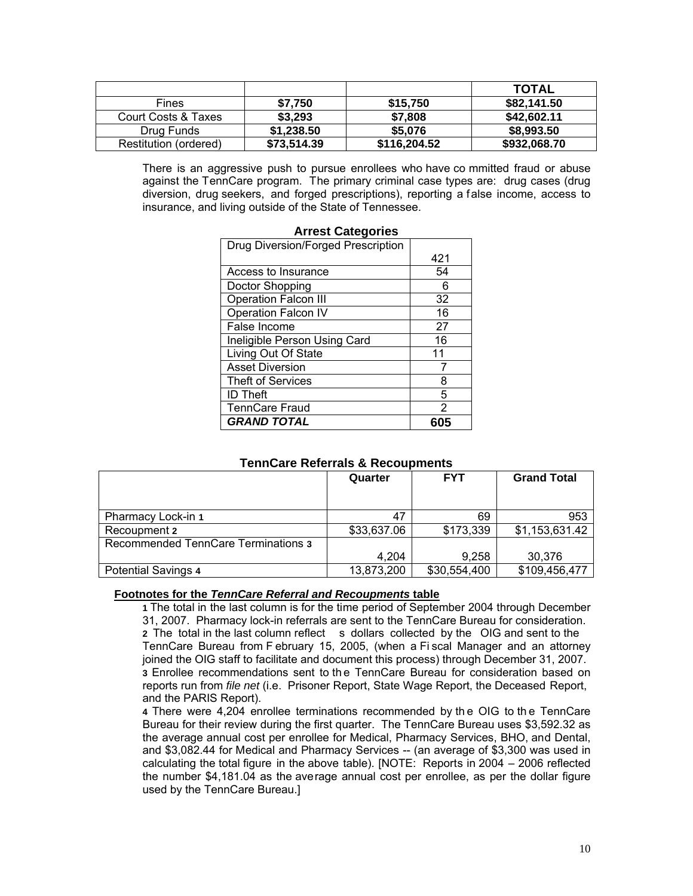|                       |             |              | <b>TOTAL</b> |
|-----------------------|-------------|--------------|--------------|
| <b>Fines</b>          | \$7,750     | \$15,750     | \$82,141.50  |
| Court Costs & Taxes   | \$3,293     | \$7,808      | \$42,602.11  |
| Drug Funds            | \$1,238.50  | \$5,076      | \$8,993.50   |
| Restitution (ordered) | \$73,514.39 | \$116,204.52 | \$932,068.70 |

There is an aggressive push to pursue enrollees who have co mmitted fraud or abuse against the TennCare program. The primary criminal case types are: drug cases (drug diversion, drug seekers, and forged prescriptions), reporting a false income, access to insurance, and living outside of the State of Tennessee.

| <b>Arrest Categories</b>           |               |
|------------------------------------|---------------|
| Drug Diversion/Forged Prescription |               |
|                                    | 421           |
| Access to Insurance                | 54            |
| Doctor Shopping                    | 6             |
| <b>Operation Falcon III</b>        | 32            |
| Operation Falcon IV                | 16            |
| False Income                       | 27            |
| Ineligible Person Using Card       | 16            |
| Living Out Of State                | 11            |
| <b>Asset Diversion</b>             |               |
| <b>Theft of Services</b>           | 8             |
| <b>ID Theft</b>                    | 5             |
| <b>TennCare Fraud</b>              | $\mathcal{P}$ |
| <b>GRAND TOTAL</b>                 | 605           |

#### **Arrest Categories**

## **TennCare Referrals & Recoupments**

|                                     | Quarter     | <b>FYT</b>   | <b>Grand Total</b> |
|-------------------------------------|-------------|--------------|--------------------|
| Pharmacy Lock-in 1                  | 47          | 69           | 953                |
| Recoupment 2                        | \$33,637.06 | \$173,339    | \$1,153,631.42     |
| Recommended TennCare Terminations 3 |             |              |                    |
|                                     | 4,204       | 9.258        | 30.376             |
| <b>Potential Savings 4</b>          | 13,873,200  | \$30,554,400 | \$109,456,477      |

#### **Footnotes for the** *TennCare Referral and Recoupments* **table**

 **1** The total in the last column is for the time period of September 2004 through December 31, 2007. Pharmacy lock-in referrals are sent to the TennCare Bureau for consideration. **2** The total in the last column reflect s dollars collected by the OIG and sent to the TennCare Bureau from F ebruary 15, 2005, (when a Fi scal Manager and an attorney joined the OIG staff to facilitate and document this process) through December 31, 2007. **3** Enrollee recommendations sent to th e TennCare Bureau for consideration based on reports run from *file net* (i.e. Prisoner Report, State Wage Report, the Deceased Report, and the PARIS Report).

**4** There were 4,204 enrollee terminations recommended by th e OIG to th e TennCare Bureau for their review during the first quarter. The TennCare Bureau uses \$3,592.32 as the average annual cost per enrollee for Medical, Pharmacy Services, BHO, and Dental, and \$3,082.44 for Medical and Pharmacy Services -- (an average of \$3,300 was used in calculating the total figure in the above table). [NOTE: Reports in 2004 – 2006 reflected the number \$4,181.04 as the average annual cost per enrollee, as per the dollar figure used by the TennCare Bureau.]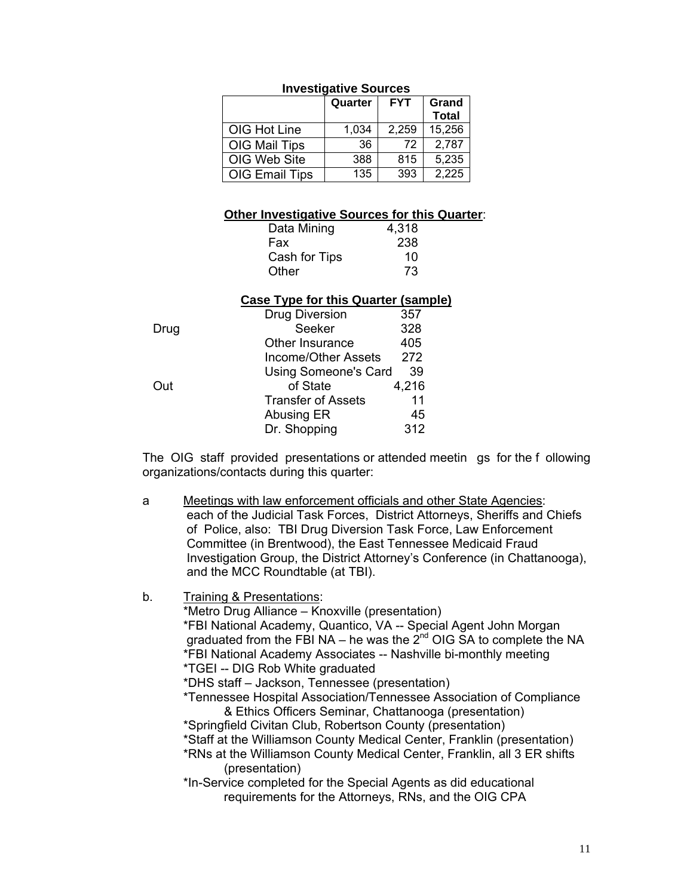|                       | Quarter | <b>FYT</b> | Grand<br><b>Total</b> |  |
|-----------------------|---------|------------|-----------------------|--|
| OIG Hot Line          | 1,034   | 2,259      | 15,256                |  |
| OIG Mail Tips         | 36      | 72         | 2,787                 |  |
| OIG Web Site          | 388     | 815        | 5,235                 |  |
| <b>OIG Email Tips</b> | 135     | 393        | 2.225                 |  |

## **Investigative Sources**

#### **Other Investigative Sources for this Quarter**:

| Data Mining   | 4,318 |  |
|---------------|-------|--|
| Fax           | 238   |  |
| Cash for Tips | 10    |  |
| Other         | 73    |  |

## **Case Type for this Quarter (sample)**

|      | Drug Diversion            | 357   |
|------|---------------------------|-------|
| Drug | Seeker                    | 328   |
|      | Other Insurance           | 405   |
|      | Income/Other Assets       | 272   |
|      | Using Someone's Card      | 39    |
| Out  | of State                  | 4,216 |
|      | <b>Transfer of Assets</b> | 11    |
|      | Abusing ER                | 45    |
|      | Dr. Shopping              | 312   |

The OIG staff provided presentations or attended meetin gs for the f ollowing organizations/contacts during this quarter:

- a Meetings with law enforcement officials and other State Agencies: each of the Judicial Task Forces, District Attorneys, Sheriffs and Chiefs of Police, also: TBI Drug Diversion Task Force, Law Enforcement Committee (in Brentwood), the East Tennessee Medicaid Fraud Investigation Group, the District Attorney's Conference (in Chattanooga), and the MCC Roundtable (at TBI).
- b. Training & Presentations:

 \*Metro Drug Alliance – Knoxville (presentation) \*FBI National Academy, Quantico, VA -- Special Agent John Morgan graduated from the FBI NA – he was the  $2^{nd}$  OIG SA to complete the NA \*FBI National Academy Associates -- Nashville bi-monthly meeting \*TGEI -- DIG Rob White graduated

\*DHS staff – Jackson, Tennessee (presentation)

 \*Tennessee Hospital Association/Tennessee Association of Compliance & Ethics Officers Seminar, Chattanooga (presentation)

\*Springfield Civitan Club, Robertson County (presentation)

\*Staff at the Williamson County Medical Center, Franklin (presentation)

 \*RNs at the Williamson County Medical Center, Franklin, all 3 ER shifts (presentation)

 \*In-Service completed for the Special Agents as did educational requirements for the Attorneys, RNs, and the OIG CPA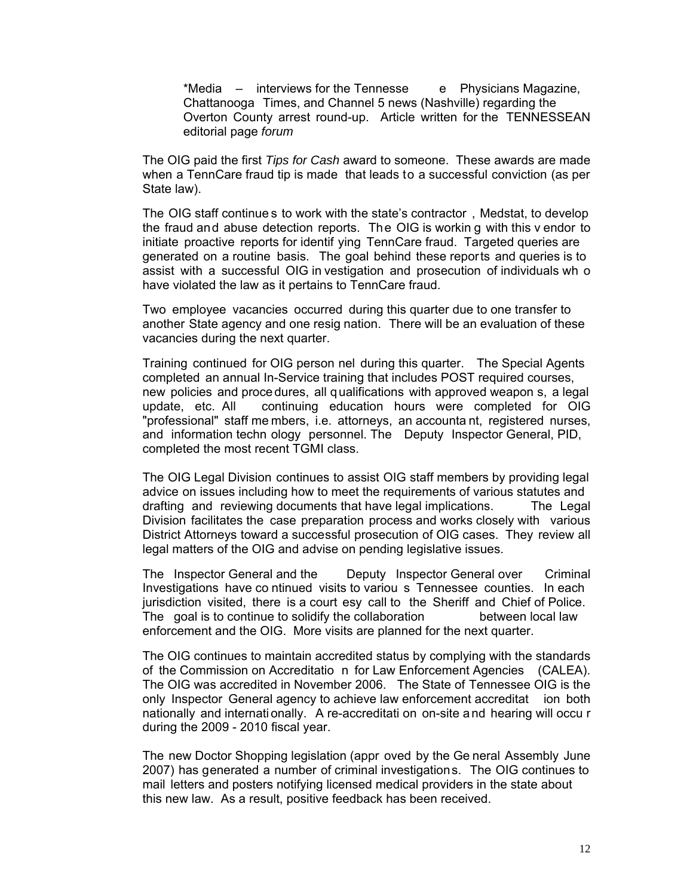\*Media – interviews for the Tennesse e Physicians Magazine, Chattanooga Times, and Channel 5 news (Nashville) regarding the Overton County arrest round-up. Article written for the TENNESSEAN editorial page *forum* 

The OIG paid the first *Tips for Cash* award to someone. These awards are made when a TennCare fraud tip is made that leads to a successful conviction (as per State law).

 The OIG staff continue s to work with the state's contractor , Medstat, to develop the fraud and abuse detection reports. The OIG is workin g with this v endor to initiate proactive reports for identif ying TennCare fraud. Targeted queries are generated on a routine basis. The goal behind these reports and queries is to assist with a successful OIG in vestigation and prosecution of individuals wh o have violated the law as it pertains to TennCare fraud.

 Two employee vacancies occurred during this quarter due to one transfer to another State agency and one resig nation. There will be an evaluation of these vacancies during the next quarter.

 Training continued for OIG person nel during this quarter. The Special Agents completed an annual In-Service training that includes POST required courses, new policies and procedures, all qualifications with approved weapon s, a legal update, etc. All continuing education hours were completed for OIG "professional" staff me mbers, i.e. attorneys, an accounta nt, registered nurses, and information techn ology personnel. The Deputy Inspector General, PID, completed the most recent TGMI class.

The OIG Legal Division continues to assist OIG staff members by providing legal advice on issues including how to meet the requirements of various statutes and drafting and reviewing documents that have legal implications. The Legal Division facilitates the case preparation process and works closely with various District Attorneys toward a successful prosecution of OIG cases. They review all legal matters of the OIG and advise on pending legislative issues.

The Inspector General and the Deputy Inspector General over Criminal Investigations have co ntinued visits to variou s Tennessee counties. In each jurisdiction visited, there is a court esy call to the Sheriff and Chief of Police. The goal is to continue to solidify the collaboration between local law enforcement and the OIG. More visits are planned for the next quarter.

The OIG continues to maintain accredited status by complying with the standards of the Commission on Accreditatio n for Law Enforcement Agencies (CALEA). The OIG was accredited in November 2006. The State of Tennessee OIG is the only Inspector General agency to achieve law enforcement accreditat ion both nationally and internati onally. A re-accreditati on on-site a nd hearing will occu r during the 2009 - 2010 fiscal year.

 The new Doctor Shopping legislation (appr oved by the Ge neral Assembly June 2007) has generated a number of criminal investigations. The OIG continues to mail letters and posters notifying licensed medical providers in the state about this new law. As a result, positive feedback has been received.